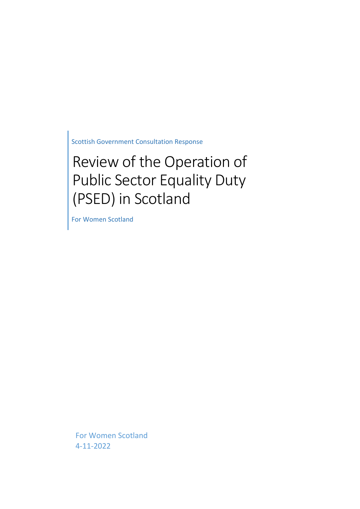Scottish Government Consultation Response

# Review of the Operation of Public Sector Equality Duty (PSED) in Scotland

For Women Scotland

For Women Scotland 4-11-2022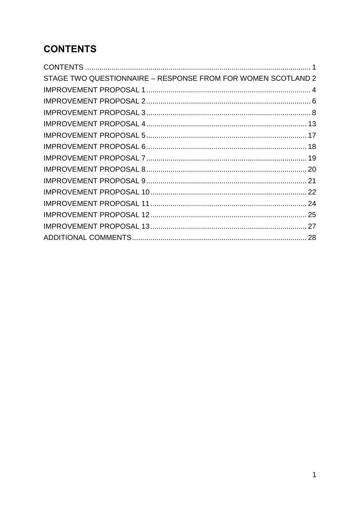# <span id="page-1-0"></span>**CONTENTS**

| STAGE TWO QUESTIONNAIRE - RESPONSE FROM FOR WOMEN SCOTLAND 2 |  |
|--------------------------------------------------------------|--|
|                                                              |  |
|                                                              |  |
|                                                              |  |
|                                                              |  |
|                                                              |  |
|                                                              |  |
|                                                              |  |
|                                                              |  |
|                                                              |  |
|                                                              |  |
|                                                              |  |
|                                                              |  |
|                                                              |  |
|                                                              |  |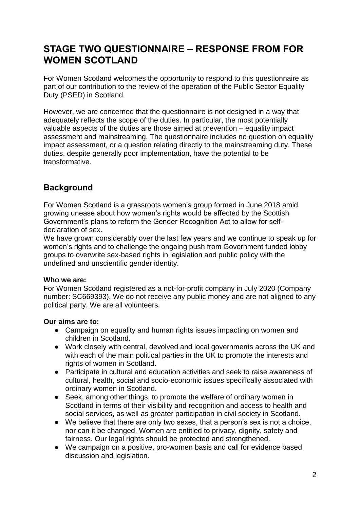# <span id="page-2-0"></span>**STAGE TWO QUESTIONNAIRE – RESPONSE FROM FOR WOMEN SCOTLAND**

For Women Scotland welcomes the opportunity to respond to this questionnaire as part of our contribution to the review of the operation of the Public Sector Equality Duty (PSED) in Scotland.

However, we are concerned that the questionnaire is not designed in a way that adequately reflects the scope of the duties. In particular, the most potentially valuable aspects of the duties are those aimed at prevention – equality impact assessment and mainstreaming. The questionnaire includes no question on equality impact assessment, or a question relating directly to the mainstreaming duty. These duties, despite generally poor implementation, have the potential to be transformative.

## **Background**

For Women Scotland is a grassroots women's group formed in June 2018 amid growing unease about how women's rights would be affected by the Scottish Government's plans to reform the Gender Recognition Act to allow for selfdeclaration of sex.

We have grown considerably over the last few years and we continue to speak up for women's rights and to challenge the ongoing push from Government funded lobby groups to overwrite sex-based rights in legislation and public policy with the undefined and unscientific gender identity.

#### **Who we are:**

For Women Scotland registered as a not-for-profit company in July 2020 (Company number: SC669393). We do not receive any public money and are not aligned to any political party. We are all volunteers.

#### **Our aims are to:**

- Campaign on equality and human rights issues impacting on women and children in Scotland.
- Work closely with central, devolved and local governments across the UK and with each of the main political parties in the UK to promote the interests and rights of women in Scotland.
- Participate in cultural and education activities and seek to raise awareness of cultural, health, social and socio-economic issues specifically associated with ordinary women in Scotland.
- Seek, among other things, to promote the welfare of ordinary women in Scotland in terms of their visibility and recognition and access to health and social services, as well as greater participation in civil society in Scotland.
- We believe that there are only two sexes, that a person's sex is not a choice, nor can it be changed. Women are entitled to privacy, dignity, safety and fairness. Our legal rights should be protected and strengthened.
- We campaign on a positive, pro-women basis and call for evidence based discussion and legislation.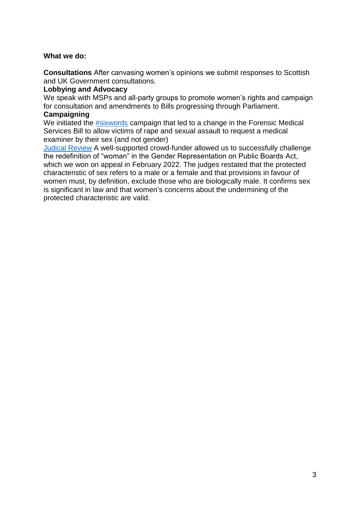#### **What we do:**

**[Consultations](https://forwomen.scot/consultation-submissions/)** After canvasing women's opinions we submit responses to Scottish and UK Government consultations.

#### **Lobbying and Advocacy**

We speak with MSPs and all-party groups to promote women's rights and campaign for consultation and amendments to Bills progressing through Parliament. **Campaigning**

We initiated the [#sixwords](https://forwomen.scot/07/12/2020/sixwords/) campaign that led to a change in the Forensic Medical Services Bill to allow victims of rape and sexual assault to request a medical examiner by their sex (and not gender)

[Judical Review](https://www.crowdjustice.com/case/stop-scottish-government-redefining-woman/) A well-supported crowd-funder allowed us to successfully challenge the redefinition of "woman" in the Gender Representation on Public Boards Act, which we won on appeal in February 2022. The judges restated that the protected characteristic of sex refers to a male or a female and that provisions in favour of women must, by definition, exclude those who are biologically male. It confirms sex is significant in law and that women's concerns about the undermining of the protected characteristic are valid.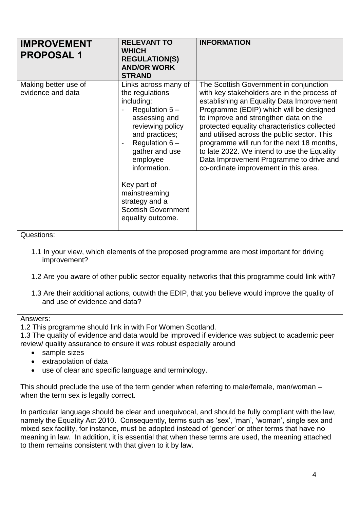<span id="page-4-0"></span>

| <b>IMPROVEMENT</b><br><b>PROPOSAL1</b>    | <b>RELEVANT TO</b><br><b>WHICH</b><br><b>REGULATION(S)</b><br><b>AND/OR WORK</b><br><b>STRAND</b>                                                                                                                                                                                                     | <b>INFORMATION</b>                                                                                                                                                                                                                                                                                                                                                                                                                                                                                     |
|-------------------------------------------|-------------------------------------------------------------------------------------------------------------------------------------------------------------------------------------------------------------------------------------------------------------------------------------------------------|--------------------------------------------------------------------------------------------------------------------------------------------------------------------------------------------------------------------------------------------------------------------------------------------------------------------------------------------------------------------------------------------------------------------------------------------------------------------------------------------------------|
| Making better use of<br>evidence and data | Links across many of<br>the regulations<br>including:<br>Regulation $5-$<br>assessing and<br>reviewing policy<br>and practices;<br>Regulation $6-$<br>gather and use<br>employee<br>information.<br>Key part of<br>mainstreaming<br>strategy and a<br><b>Scottish Government</b><br>equality outcome. | The Scottish Government in conjunction<br>with key stakeholders are in the process of<br>establishing an Equality Data Improvement<br>Programme (EDIP) which will be designed<br>to improve and strengthen data on the<br>protected equality characteristics collected<br>and utilised across the public sector. This<br>programme will run for the next 18 months,<br>to late 2022. We intend to use the Equality<br>Data Improvement Programme to drive and<br>co-ordinate improvement in this area. |

- 1.1 In your view, which elements of the proposed programme are most important for driving improvement?
- 1.2 Are you aware of other public sector equality networks that this programme could link with?
- 1.3 Are their additional actions, outwith the EDIP, that you believe would improve the quality of and use of evidence and data?

Answers:

1.2 This programme should link in with For Women Scotland.

1.3 The quality of evidence and data would be improved if evidence was subject to academic peer review/ quality assurance to ensure it was robust especially around

- sample sizes
- extrapolation of data
- use of clear and specific language and terminology.

This should preclude the use of the term gender when referring to male/female, man/woman – when the term sex is legally correct.

In particular language should be clear and unequivocal, and should be fully compliant with the law, namely the Equality Act 2010. Consequently, terms such as 'sex', 'man', 'woman', single sex and mixed sex facility, for instance, must be adopted instead of 'gender' or other terms that have no meaning in law. In addition, it is essential that when these terms are used, the meaning attached to them remains consistent with that given to it by law.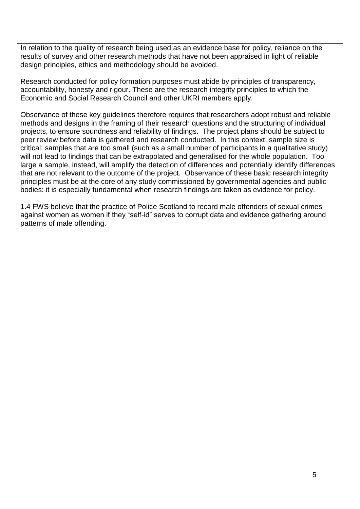In relation to the quality of research being used as an evidence base for policy, reliance on the results of survey and other research methods that have not been appraised in light of reliable design principles, ethics and methodology should be avoided.

Research conducted for policy formation purposes must abide by principles of transparency, accountability, honesty and rigour. These are the research integrity principles to which the Economic and Social Research Council and other UKRI members apply.

Observance of these key guidelines therefore requires that researchers adopt robust and reliable methods and designs in the framing of their research questions and the structuring of individual projects, to ensure soundness and reliability of findings. The project plans should be subject to peer review before data is gathered and research conducted. In this context, sample size is critical: samples that are too small (such as a small number of participants in a qualitative study) will not lead to findings that can be extrapolated and generalised for the whole population. Too large a sample, instead, will amplify the detection of differences and potentially identify differences that are not relevant to the outcome of the project. Observance of these basic research integrity principles must be at the core of any study commissioned by governmental agencies and public bodies: it is especially fundamental when research findings are taken as evidence for policy.

1.4 FWS believe that the practice of Police Scotland to record male offenders of sexual crimes against women as women if they "self-id" serves to corrupt data and evidence gathering around patterns of male offending.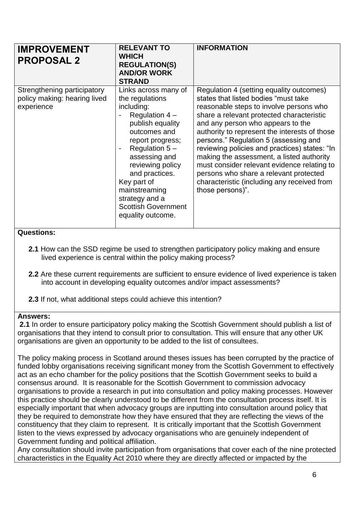<span id="page-6-0"></span>

| <b>IMPROVEMENT</b><br><b>PROPOSAL 2</b>                                   | <b>RELEVANT TO</b><br><b>WHICH</b><br><b>REGULATION(S)</b><br><b>AND/OR WORK</b><br><b>STRAND</b>                                                                                                                                                                                                               | <b>INFORMATION</b>                                                                                                                                                                                                                                                                                                                                                                                                                                                                                                                                                |
|---------------------------------------------------------------------------|-----------------------------------------------------------------------------------------------------------------------------------------------------------------------------------------------------------------------------------------------------------------------------------------------------------------|-------------------------------------------------------------------------------------------------------------------------------------------------------------------------------------------------------------------------------------------------------------------------------------------------------------------------------------------------------------------------------------------------------------------------------------------------------------------------------------------------------------------------------------------------------------------|
| Strengthening participatory<br>policy making: hearing lived<br>experience | Links across many of<br>the regulations<br>including:<br>Regulation $4-$<br>publish equality<br>outcomes and<br>report progress;<br>Regulation $5-$<br>assessing and<br>reviewing policy<br>and practices.<br>Key part of<br>mainstreaming<br>strategy and a<br><b>Scottish Government</b><br>equality outcome. | Regulation 4 (setting equality outcomes)<br>states that listed bodies "must take<br>reasonable steps to involve persons who<br>share a relevant protected characteristic<br>and any person who appears to the<br>authority to represent the interests of those<br>persons." Regulation 5 (assessing and<br>reviewing policies and practices) states: "In<br>making the assessment, a listed authority<br>must consider relevant evidence relating to<br>persons who share a relevant protected<br>characteristic (including any received from<br>those persons)". |

- **2.1** How can the SSD regime be used to strengthen participatory policy making and ensure lived experience is central within the policy making process?
- **2.2** Are these current requirements are sufficient to ensure evidence of lived experience is taken into account in developing equality outcomes and/or impact assessments?
- **2.3** If not, what additional steps could achieve this intention?

#### **Answers:**

**2.1** In order to ensure participatory policy making the Scottish Government should publish a list of organisations that they intend to consult prior to consultation. This will ensure that any other UK organisations are given an opportunity to be added to the list of consultees.

The policy making process in Scotland around theses issues has been corrupted by the practice of funded lobby organisations receiving significant money from the Scottish Government to effectively act as an echo chamber for the policy positions that the Scottish Government seeks to build a consensus around. It is reasonable for the Scottish Government to commission advocacy organisations to provide a research in put into consultation and policy making processes. However this practice should be clearly understood to be different from the consultation process itself. It is especially important that when advocacy groups are inputting into consultation around policy that they be required to demonstrate how they have ensured that they are reflecting the views of the constituency that they claim to represent. It is critically important that the Scottish Government listen to the views expressed by advocacy organisations who are genuinely independent of Government funding and political affiliation.

Any consultation should invite participation from organisations that cover each of the nine protected characteristics in the Equality Act 2010 where they are directly affected or impacted by the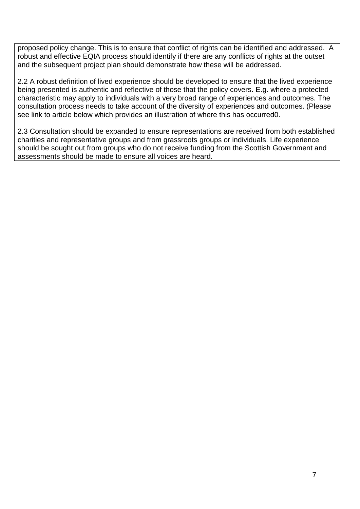proposed policy change. This is to ensure that conflict of rights can be identified and addressed. A robust and effective EQIA process should identify if there are any conflicts of rights at the outset and the subsequent project plan should demonstrate how these will be addressed.

2.2 A robust definition of lived experience should be developed to ensure that the lived experience being presented is authentic and reflective of those that the policy covers. E.g. where a protected characteristic may apply to individuals with a very broad range of experiences and outcomes. The consultation process needs to take account of the diversity of experiences and outcomes. (Please see link to article below which provides an illustration of where this has occurred0.

2.3 Consultation should be expanded to ensure representations are received from both established charities and representative groups and from grassroots groups or individuals. Life experience should be sought out from groups who do not receive funding from the Scottish Government and assessments should be made to ensure all voices are heard.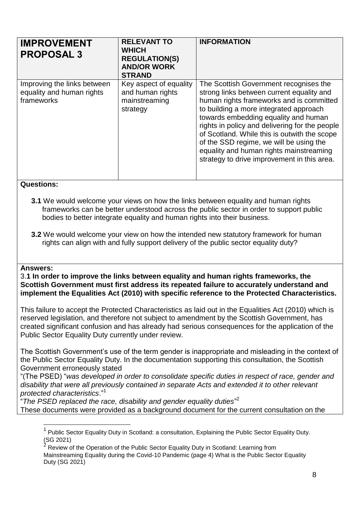<span id="page-8-0"></span>

| <b>IMPROVEMENT</b><br><b>PROPOSAL 3</b>                                | <b>RELEVANT TO</b><br><b>WHICH</b><br><b>REGULATION(S)</b><br><b>AND/OR WORK</b><br><b>STRAND</b> | <b>INFORMATION</b>                                                                                                                                                                                                                                                                                                                                                                                                                                       |
|------------------------------------------------------------------------|---------------------------------------------------------------------------------------------------|----------------------------------------------------------------------------------------------------------------------------------------------------------------------------------------------------------------------------------------------------------------------------------------------------------------------------------------------------------------------------------------------------------------------------------------------------------|
| Improving the links between<br>equality and human rights<br>frameworks | Key aspect of equality<br>and human rights<br>mainstreaming<br>strategy                           | The Scottish Government recognises the<br>strong links between current equality and<br>human rights frameworks and is committed<br>to building a more integrated approach<br>towards embedding equality and human<br>rights in policy and delivering for the people<br>of Scotland. While this is outwith the scope<br>of the SSD regime, we will be using the<br>equality and human rights mainstreaming<br>strategy to drive improvement in this area. |

- **3.1** We would welcome your views on how the links between equality and human rights frameworks can be better understood across the public sector in order to support public bodies to better integrate equality and human rights into their business.
- **3.2** We would welcome your view on how the intended new statutory framework for human rights can align with and fully support delivery of the public sector equality duty?

#### **Answers:**

<u>.</u>

3.**1 In order to improve the links between equality and human rights frameworks, the Scottish Government must first address its repeated failure to accurately understand and implement the Equalities Act (2010) with specific reference to the Protected Characteristics.** 

This failure to accept the Protected Characteristics as laid out in the Equalities Act (2010) which is reserved legislation, and therefore not subject to amendment by the Scottish Government, has created significant confusion and has already had serious consequences for the application of the Public Sector Equality Duty currently under review.

The Scottish Government's use of the term gender is inappropriate and misleading in the context of the Public Sector Equality Duty. In the documentation supporting this consultation, the Scottish Government erroneously stated

"(The PSED) "*was developed in order to consolidate specific duties in respect of race, gender and disability that were all previously contained in separate Acts and extended it to other relevant protected characteristics*."<sup>1</sup>

.<br>"The PSED replaced the race, disability and gender equality duties"<sup>2</sup>

These documents were provided as a background document for the current consultation on the

<sup>1</sup> Public Sector Equality Duty in Scotland: a consultation, Explaining the Public Sector Equality Duty.  $(SG 2021)$ 

Review of the Operation of the Public Sector Equality Duty in Scotland: Learning from Mainstreaming Equality during the Covid-10 Pandemic (page 4) What is the Public Sector Equality Duty (SG 2021)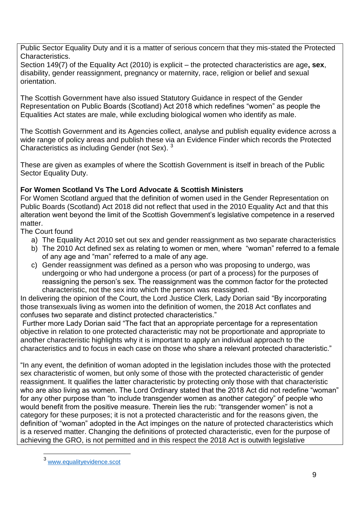Public Sector Equality Duty and it is a matter of serious concern that they mis-stated the Protected Characteristics.

Section 149(7) of the Equality Act (2010) is explicit – the protected characteristics are age**, sex**, disability, gender reassignment, pregnancy or maternity, race, religion or belief and sexual orientation.

The Scottish Government have also issued Statutory Guidance in respect of the Gender Representation on Public Boards (Scotland) Act 2018 which redefines "women" as people the Equalities Act states are male, while excluding biological women who identify as male.

The Scottish Government and its Agencies collect, analyse and publish equality evidence across a wide range of policy areas and publish these via an Evidence Finder which records the Protected Characteristics as including Gender (not Sex). 3

These are given as examples of where the Scottish Government is itself in breach of the Public Sector Equality Duty.

#### **For Women Scotland Vs The Lord Advocate & Scottish Ministers**

For Women Scotland argued that the definition of women used in the Gender Representation on Public Boards (Scotland) Act 2018 did not reflect that used in the 2010 Equality Act and that this alteration went beyond the limit of the Scottish Government's legislative competence in a reserved matter.

The Court found

- a) The Equality Act 2010 set out sex and gender reassignment as two separate characteristics
- b) The 2010 Act defined sex as relating to women or men, where "woman" referred to a female of any age and "man" referred to a male of any age.
- c) Gender reassignment was defined as a person who was proposing to undergo, was undergoing or who had undergone a process (or part of a process) for the purposes of reassigning the person's sex. The reassignment was the common factor for the protected characteristic, not the sex into which the person was reassigned.

In delivering the opinion of the Court, the Lord Justice Clerk, Lady Dorian said "By incorporating those transexuals living as women into the definition of women, the 2018 Act conflates and confuses two separate and distinct protected characteristics."

Further more Lady Dorian said "The fact that an appropriate percentage for a representation objective in relation to one protected characteristic may not be proportionate and appropriate to another characteristic highlights why it is important to apply an individual approach to the characteristics and to focus in each case on those who share a relevant protected characteristic."

"In any event, the definition of woman adopted in the legislation includes those with the protected sex characteristic of women, but only some of those with the protected characteristic of gender reassignment. It qualifies the latter characteristic by protecting only those with that characteristic who are also living as women. The Lord Ordinary stated that the 2018 Act did not redefine "woman" for any other purpose than "to include transgender women as another category" of people who would benefit from the positive measure. Therein lies the rub: "transgender women" is not a category for these purposes; it is not a protected characteristic and for the reasons given, the definition of "woman" adopted in the Act impinges on the nature of protected characteristics which is a reserved matter. Changing the definitions of protected characteristic, even for the purpose of achieving the GRO, is not permitted and in this respect the 2018 Act is outwith legislative

<sup>1</sup> 3 [www.equalityevidence.scot](http://www.equalityevidence.scot/)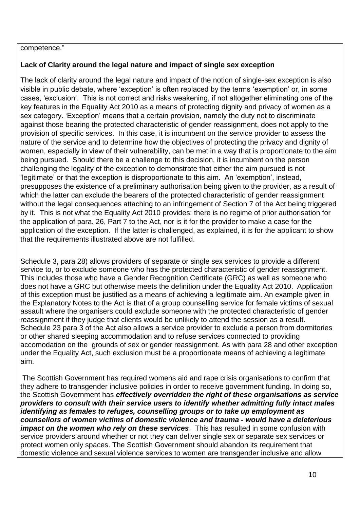#### competence."

#### **Lack of Clarity around the legal nature and impact of single sex exception**

The lack of clarity around the legal nature and impact of the notion of single-sex exception is also visible in public debate, where 'exception' is often replaced by the terms 'exemption' or, in some cases, 'exclusion'. This is not correct and risks weakening, if not altogether eliminating one of the key features in the Equality Act 2010 as a means of protecting dignity and privacy of women as a sex category. 'Exception' means that a certain provision, namely the duty not to discriminate against those bearing the protected characteristic of gender reassignment, does not apply to the provision of specific services. In this case, it is incumbent on the service provider to assess the nature of the service and to determine how the objectives of protecting the privacy and dignity of women, especially in view of their vulnerability, can be met in a way that is proportionate to the aim being pursued. Should there be a challenge to this decision, it is incumbent on the person challenging the legality of the exception to demonstrate that either the aim pursued is not 'legitimate' or that the exception is disproportionate to this aim. An 'exemption', instead, presupposes the existence of a preliminary authorisation being given to the provider, as a result of which the latter can exclude the bearers of the protected characteristic of gender reassignment without the legal consequences attaching to an infringement of Section 7 of the Act being triggered by it. This is not what the Equality Act 2010 provides: there is no regime of prior authorisation for the application of para. 26, Part 7 to the Act, nor is it for the provider to make a case for the application of the exception. If the latter is challenged, as explained, it is for the applicant to show that the requirements illustrated above are not fulfilled.

Schedule 3, para 28) allows providers of separate or single sex services to provide a different service to, or to exclude someone who has the protected characteristic of gender reassignment. This includes those who have a Gender Recognition Certificate (GRC) as well as someone who does not have a GRC but otherwise meets the definition under the Equality Act 2010. Application of this exception must be justified as a means of achieving a legitimate aim. An example given in the Explanatory Notes to the Act is that of a group counselling service for female victims of sexual assault where the organisers could exclude someone with the protected characteristic of gender reassignment if they judge that clients would be unlikely to attend the session as a result. Schedule 23 para 3 of the Act also allows a service provider to exclude a person from dormitories or other shared sleeping accommodation and to refuse services connected to providing accomodation on the grounds of sex or gender reassignment. As with para 28 and other exception under the Equality Act, such exclusion must be a proportionate means of achieving a legitimate aim.

The Scottish Government has required womens aid and rape crisis organisations to confirm that they adhere to transgender inclusive policies in order to receive government funding. In doing so, the Scottish Government has *effectively overridden the right of these organisations as service providers to consult with their service users to identify whether admitting fully intact males identifying as females to refuges, counselling groups or to take up employment as counsellors of women victims of domestic violence and trauma - would have a deleterious impact on the women who rely on these services*. This has resulted in some confusion with service providers around whether or not they can deliver single sex or separate sex services or protect women only spaces. The Scottish Government should abandon its requirement that domestic violence and sexual violence services to women are transgender inclusive and allow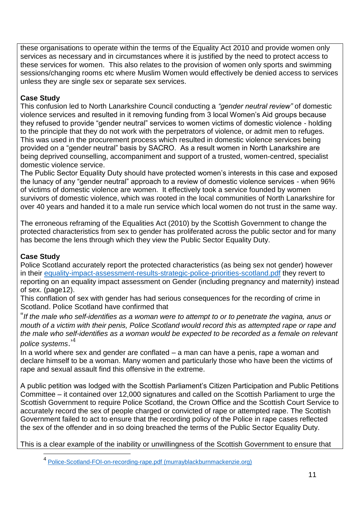these organisations to operate within the terms of the Equality Act 2010 and provide women only services as necessary and in circumstances where it is justified by the need to protect access to these services for women. This also relates to the provision of women only sports and swimming sessions/changing rooms etc where Muslim Women would effectively be denied access to services unless they are single sex or separate sex services.

#### **Case Study**

This confusion led to North Lanarkshire Council conducting a *"gender neutral review"* of domestic violence services and resulted in it removing funding from 3 local Women's Aid groups because they refused to provide "gender neutral" services to women victims of domestic violence - holding to the principle that they do not work with the perpetrators of violence, or admit men to refuges. This was used in the procurement process which resulted in domestic violence services being provided on a "gender neutral" basis by SACRO. As a result women in North Lanarkshire are being deprived counselling, accompaniment and support of a trusted, women-centred, specialist domestic violence service.

The Public Sector Equality Duty should have protected women's interests in this case and exposed the lunacy of any "gender neutral" approach to a review of domestic violence services - when 96% of victims of domestic violence are women. It effectively took a service founded by women survivors of domestic violence, which was rooted in the local communities of North Lanarkshire for over 40 years and handed it to a male run service which local women do not trust in the same way.

The erroneous reframing of the Equalities Act (2010) by the Scottish Government to change the protected characteristics from sex to gender has proliferated across the public sector and for many has become the lens through which they view the Public Sector Equality Duty.

#### **Case Study**

1

Police Scotland accurately report the protected characteristics (as being sex not gender) however in their [equality-impact-assessment-results-strategic-police-priorities-scotland.pdf](about:blank) they revert to reporting on an equality impact assessment on Gender (including pregnancy and maternity) instead of sex. (page12).

This conflation of sex with gender has had serious consequences for the recording of crime in Scotland. Police Scotland have confirmed that

"*If the male who self-identifies as a woman were to attempt to or to penetrate the vagina, anus or mouth of a victim with their penis, Police Scotland would record this as attempted rape or rape and the male who self-identifies as a woman would be expected to be recorded as a female on relevant police systems*.'<sup>4</sup>

In a world where sex and gender are conflated – a man can have a penis, rape a woman and declare himself to be a woman. Many women and particularly those who have been the victims of rape and sexual assault find this offensive in the extreme.

A public petition was lodged with the Scottish Parliament's Citizen Participation and Public Petitions Committee – it contained over 12,000 signatures and called on the Scottish Parliament to urge the Scottish Government to require Police Scotland, the Crown Office and the Scottish Court Service to accurately record the sex of people charged or convicted of rape or attempted rape. The Scottish Government failed to act to ensure that the recording policy of the Police in rape cases reflected the sex of the offender and in so doing breached the terms of the Public Sector Equality Duty.

This is a clear example of the inability or unwillingness of the Scottish Government to ensure that

<sup>4</sup> [Police-Scotland-FOI-on-recording-rape.pdf \(murrayblackburnmackenzie.org\)](https://murrayblackburnmackenzie.org/wp-content/uploads/2021/06/Police-Scotland-FOI-on-recording-rape.pdf)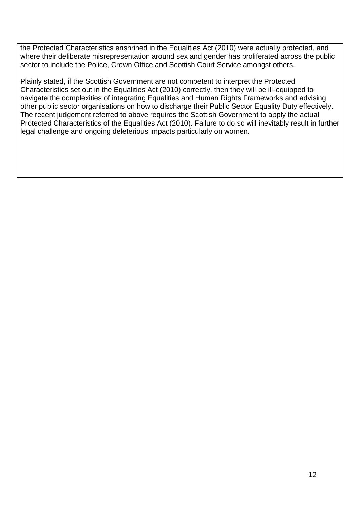the Protected Characteristics enshrined in the Equalities Act (2010) were actually protected, and where their deliberate misrepresentation around sex and gender has proliferated across the public sector to include the Police, Crown Office and Scottish Court Service amongst others.

Plainly stated, if the Scottish Government are not competent to interpret the Protected Characteristics set out in the Equalities Act (2010) correctly, then they will be ill-equipped to navigate the complexities of integrating Equalities and Human Rights Frameworks and advising other public sector organisations on how to discharge their Public Sector Equality Duty effectively. The recent judgement referred to above requires the Scottish Government to apply the actual Protected Characteristics of the Equalities Act (2010). Failure to do so will inevitably result in further legal challenge and ongoing deleterious impacts particularly on women.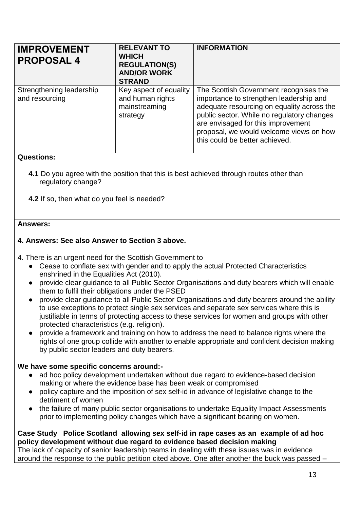<span id="page-13-0"></span>

| <b>IMPROVEMENT</b><br><b>PROPOSAL 4</b>    | <b>RELEVANT TO</b><br><b>WHICH</b><br><b>REGULATION(S)</b><br><b>AND/OR WORK</b><br><b>STRAND</b> | <b>INFORMATION</b>                                                                                                                                                                                                                                                                               |
|--------------------------------------------|---------------------------------------------------------------------------------------------------|--------------------------------------------------------------------------------------------------------------------------------------------------------------------------------------------------------------------------------------------------------------------------------------------------|
| Strengthening leadership<br>and resourcing | Key aspect of equality<br>and human rights<br>mainstreaming<br>strategy                           | The Scottish Government recognises the<br>importance to strengthen leadership and<br>adequate resourcing on equality across the<br>public sector. While no regulatory changes<br>are envisaged for this improvement<br>proposal, we would welcome views on how<br>this could be better achieved. |

- **4.1** Do you agree with the position that this is best achieved through routes other than regulatory change?
- **4.2** If so, then what do you feel is needed?

#### **Answers:**

#### **4. Answers: See also Answer to Section 3 above.**

- 4. There is an urgent need for the Scottish Government to
	- Cease to conflate sex with gender and to apply the actual Protected Characteristics enshrined in the Equalities Act (2010).
	- provide clear guidance to all Public Sector Organisations and duty bearers which will enable them to fulfil their obligations under the PSED
	- provide clear guidance to all Public Sector Organisations and duty bearers around the ability to use exceptions to protect single sex services and separate sex services where this is justifiable in terms of protecting access to these services for women and groups with other protected characteristics (e.g. religion).
	- provide a framework and training on how to address the need to balance rights where the rights of one group collide with another to enable appropriate and confident decision making by public sector leaders and duty bearers.

#### **We have some specific concerns around:-**

- ad hoc policy development undertaken without due regard to evidence-based decision making or where the evidence base has been weak or compromised
- policy capture and the imposition of sex self-id in advance of legislative change to the detriment of women
- the failure of many public sector organisations to undertake Equality Impact Assessments prior to implementing policy changes which have a significant bearing on women.

#### **Case Study Police Scotland allowing sex self-id in rape cases as an example of ad hoc policy development without due regard to evidence based decision making**

The lack of capacity of senior leadership teams in dealing with these issues was in evidence around the response to the public petition cited above. One after another the buck was passed –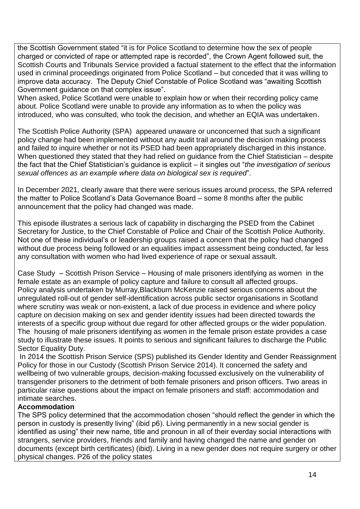the Scottish Government stated "it is for Police Scotland to determine how the sex of people charged or convicted of rape or attempted rape is recorded", the Crown Agent followed suit, the Scottish Courts and Tribunals Service provided a factual statement to the effect that the information used in criminal proceedings originated from Police Scotland – but conceded that it was willing to improve data accuracy. The Deputy Chief Constable of Police Scotland was "awaiting Scottish Government guidance on that complex issue".

When asked, Police Scotland were unable to explain how or when their recording policy came about. Police Scotland were unable to provide any information as to when the policy was introduced, who was consulted, who took the decision, and whether an EQIA was undertaken.

The Scottish Police Authority (SPA) appeared unaware or unconcerned that such a significant policy change had been implemented without any audit trail around the decision making process and failed to inquire whether or not its PSED had been appropriately discharged in this instance. When questioned they stated that they had relied on quidance from the Chief Statistician – despite the fact that the Chief Statistician's guidance is explicit – it singles out "*the investigation of serious sexual offences as an example where data on biological sex is required*".

In December 2021, clearly aware that there were serious issues around process, the SPA referred the matter to Police Scotland's Data Governance Board – some 8 months after the public announcement that the policy had changed was made.

This episode illustrates a serious lack of capability in discharging the PSED from the Cabinet Secretary for Justice, to the Chief Constable of Police and Chair of the Scottish Police Authority. Not one of these individual's or leadership groups raised a concern that the policy had changed without due process being followed or an equalities impact assessment being conducted, far less any consultation with women who had lived experience of rape or sexual assault.

Case Study – Scottish Prison Service – Housing of male prisoners identifying as women in the female estate as an example of policy capture and failure to consult all affected groups. Policy analysis undertaken by Murray,Blackburn McKenzie raised serious concerns about the unregulated roll-out of gender self-identification across public sector organisations in Scotland where scrutiny was weak or non-existent, a lack of due process in evidence and where policy capture on decision making on sex and gender identity issues had been directed towards the interests of a specific group without due regard for other affected groups or the wider population. The housing of male prisoners identifying as women in the female prison estate provides a case study to illustrate these issues. It points to serious and significant failures to discharge the Public Sector Equality Duty.

In 2014 the Scottish Prison Service (SPS) published its Gender Identity and Gender Reassignment Policy for those in our Custody (Scottish Prison Service 2014). It concerned the safety and wellbeing of two vulnerable groups, decision-making focussed exclusively on the vulnerability of transgender prisoners to the detriment of both female prisoners and prison officers. Two areas in particular raise questions about the impact on female prisoners and staff: accommodation and intimate searches.

#### **Accommodation**

The SPS policy determined that the accommodation chosen "should reflect the gender in which the person in custody is presently living" (ibid p6). Living permanently in a new social gender is identified as using" their new name, title and pronoun in all of their everday social interactions with strangers, service providers, friends and family and having changed the name and gender on documents (except birth certificates) (ibid). Living in a new gender does not require surgery or other physical changes. P26 of the policy states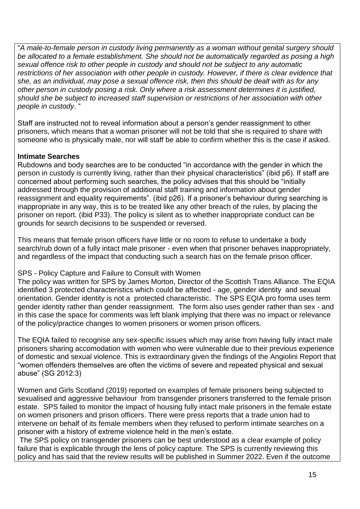"*A male-to-female person in custody living permanently as a woman without genital surgery should be allocated to a female establishment. She should not be automatically regarded as posing a high sexual offence risk to other people in custody and should not be subject to any automatic restrictions of her association with other people in custody. However, if there is clear evidence that she, as an individual, may pose a sexual offence risk, then this should be dealt with as for any other person in custody posing a risk. Only where a risk assessment determines it is justified, should she be subject to increased staff supervision or restrictions of her association with other people in custody*. "

Staff are instructed not to reveal information about a person's gender reassignment to other prisoners, which means that a woman prisoner will not be told that she is required to share with someone who is physically male, nor will staff be able to confirm whether this is the case if asked.

#### **Intimate Searches**

Rubdowns and body searches are to be conducted "in accordance with the gender in which the person in custody is currently living, rather than their physical characteristics" (ibid p6). If staff are concerned about performing such searches, the policy advises that this should be "initially addressed through the provision of additional staff training and information about gender reassignment and equality requirements". (ibid p26). If a prisoner's behaviour during searching is inappropriate in any way, this is to be treated like any other breach of the rules, by placing the prisoner on report. (ibid P33). The policy is silent as to whether inappropriate conduct can be grounds for search decisions to be suspended or reversed.

This means that female prison officers have little or no room to refuse to undertake a body search/rub down of a fully intact male prisoner - even when that prisoner behaves inappropriately, and regardless of the impact that conducting such a search has on the female prison officer.

#### SPS - Policy Capture and Failure to Consult with Women

The policy was written for SPS by James Morton, Director of the Scottish Trans Alliance. The EQIA identified 3 protected characteristics which could be affected - age, gender identity and sexual orientation. Gender identity is not a protected characteristic. The SPS EQIA pro forma uses term gender identity rather than gender reassignment. The form also uses gender rather than sex - and in this case the space for comments was left blank implying that there was no impact or relevance of the policy/practice changes to women prisoners or women prison officers.

The EQIA failed to recognise any sex-specific issues which may arise from having fully intact male prisoners sharing accomodation with women who were vulnerable due to their previous experience of domestic and sexual violence. This is extraordinary given the findings of the Angiolini Report that "women offenders themselves are often the victims of severe and repeated physical and sexual abuse" (SG 2012:3)

Women and Girls Scotland (2019) reported on examples of female prisoners being subjected to sexualised and aggressive behaviour from transgender prisoners transferred to the female prison estate. SPS failed to monitor the impact of housing fully intact male prisoners in the female estate on women prisoners and prison officers. There were press reports that a trade union had to intervene on behalf of its female members when they refused to perform intimate searches on a prisoner with a history of extreme violence held in the men's estate.

The SPS policy on transgender prisoners can be best understood as a clear example of policy failure that is explicable through the lens of policy capture. The SPS is currently reviewing this policy and has said that the review results will be published in Summer 2022. Even if the outcome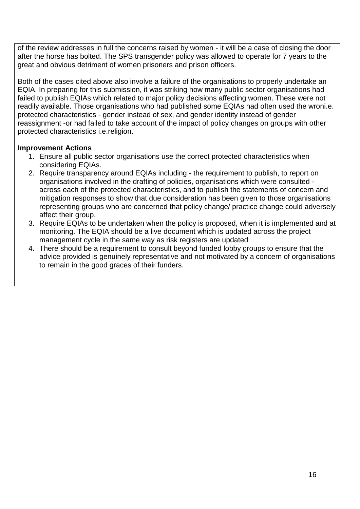of the review addresses in full the concerns raised by women - it will be a case of closing the door after the horse has bolted. The SPS transgender policy was allowed to operate for 7 years to the great and obvious detriment of women prisoners and prison officers.

Both of the cases cited above also involve a failure of the organisations to properly undertake an EQIA. In preparing for this submission, it was striking how many public sector organisations had failed to publish EQIAs which related to major policy decisions affecting women. These were not readily available. Those organisations who had published some EQIAs had often used the wroni.e. protected characteristics - gender instead of sex, and gender identity instead of gender reassignment -or had failed to take account of the impact of policy changes on groups with other protected characteristics i.e.religion.

#### **Improvement Actions**

- 1. Ensure all public sector organisations use the correct protected characteristics when considering EQIAs.
- 2. Require transparency around EQIAs including the requirement to publish, to report on organisations involved in the drafting of policies, organisations which were consulted across each of the protected characteristics, and to publish the statements of concern and mitigation responses to show that due consideration has been given to those organisations representing groups who are concerned that policy change/ practice change could adversely affect their group.
- 3. Require EQIAs to be undertaken when the policy is proposed, when it is implemented and at monitoring. The EQIA should be a live document which is updated across the project management cycle in the same way as risk registers are updated
- 4. There should be a requirement to consult beyond funded lobby groups to ensure that the advice provided is genuinely representative and not motivated by a concern of organisations to remain in the good graces of their funders.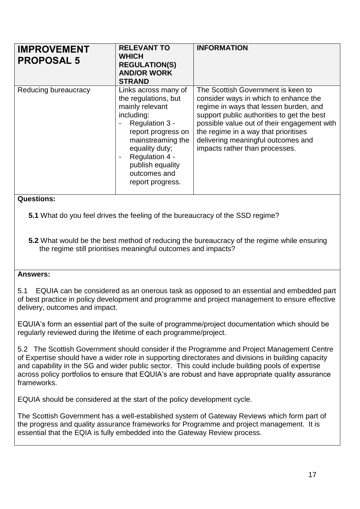<span id="page-17-0"></span>

| <b>IMPROVEMENT</b><br><b>PROPOSAL 5</b> | <b>RELEVANT TO</b><br><b>WHICH</b><br><b>REGULATION(S)</b><br><b>AND/OR WORK</b><br><b>STRAND</b>                                                                                                                                      | <b>INFORMATION</b>                                                                                                                                                                                                                                                                                                                 |
|-----------------------------------------|----------------------------------------------------------------------------------------------------------------------------------------------------------------------------------------------------------------------------------------|------------------------------------------------------------------------------------------------------------------------------------------------------------------------------------------------------------------------------------------------------------------------------------------------------------------------------------|
| Reducing bureaucracy                    | Links across many of<br>the regulations, but<br>mainly relevant<br>including:<br>Regulation 3 -<br>report progress on<br>mainstreaming the<br>equality duty;<br>Regulation 4 -<br>publish equality<br>outcomes and<br>report progress. | The Scottish Government is keen to<br>consider ways in which to enhance the<br>regime in ways that lessen burden, and<br>support public authorities to get the best<br>possible value out of their engagement with<br>the regime in a way that prioritises<br>delivering meaningful outcomes and<br>impacts rather than processes. |

**5.1** What do you feel drives the feeling of the bureaucracy of the SSD regime?

**5.2** What would be the best method of reducing the bureaucracy of the regime while ensuring the regime still prioritises meaningful outcomes and impacts?

#### **Answers:**

5.1 EQUIA can be considered as an onerous task as opposed to an essential and embedded part of best practice in policy development and programme and project management to ensure effective delivery, outcomes and impact.

EQUIA's form an essential part of the suite of programme/project documentation which should be regularly reviewed during the lifetime of each programme/project.

5.2 The Scottish Government should consider if the Programme and Project Management Centre of Expertise should have a wider role in supporting directorates and divisions in building capacity and capability in the SG and wider public sector. This could include building pools of expertise across policy portfolios to ensure that EQUIA's are robust and have appropriate quality assurance frameworks.

EQUIA should be considered at the start of the policy development cycle.

The Scottish Government has a well-established system of Gateway Reviews which form part of the progress and quality assurance frameworks for Programme and project management. It is essential that the EQIA is fully embedded into the Gateway Review process.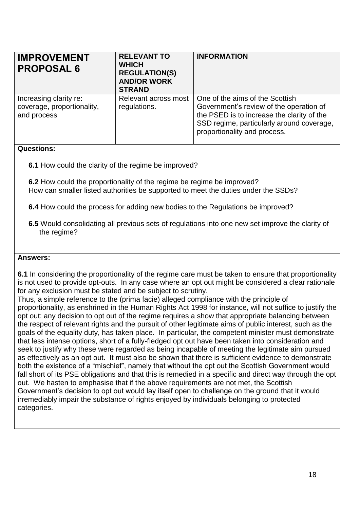<span id="page-18-0"></span>

| <b>IMPROVEMENT</b><br><b>PROPOSAL 6</b>                             | <b>RELEVANT TO</b><br><b>WHICH</b><br><b>REGULATION(S)</b><br><b>AND/OR WORK</b><br><b>STRAND</b> | <b>INFORMATION</b>                                                                                                                                                                                    |
|---------------------------------------------------------------------|---------------------------------------------------------------------------------------------------|-------------------------------------------------------------------------------------------------------------------------------------------------------------------------------------------------------|
| Increasing clarity re:<br>coverage, proportionality,<br>and process | Relevant across most<br>regulations.                                                              | One of the aims of the Scottish<br>Government's review of the operation of<br>the PSED is to increase the clarity of the<br>SSD regime, particularly around coverage,<br>proportionality and process. |

**6.1** How could the clarity of the regime be improved?

**6.2** How could the proportionality of the regime be regime be improved? How can smaller listed authorities be supported to meet the duties under the SSDs?

- **6.4** How could the process for adding new bodies to the Regulations be improved?
- **6.5** Would consolidating all previous sets of regulations into one new set improve the clarity of the regime?

#### **Answers:**

**6.1** In considering the proportionality of the regime care must be taken to ensure that proportionality is not used to provide opt-outs. In any case where an opt out might be considered a clear rationale for any exclusion must be stated and be subject to scrutiny.

Thus, a simple reference to the (prima facie) alleged compliance with the principle of proportionality, as enshrined in the Human Rights Act 1998 for instance, will not suffice to justify the opt out: any decision to opt out of the regime requires a show that appropriate balancing between the respect of relevant rights and the pursuit of other legitimate aims of public interest, such as the goals of the equality duty, has taken place. In particular, the competent minister must demonstrate that less intense options, short of a fully-fledged opt out have been taken into consideration and seek to justify why these were regarded as being incapable of meeting the legitimate aim pursued as effectively as an opt out. It must also be shown that there is sufficient evidence to demonstrate both the existence of a "mischief", namely that without the opt out the Scottish Government would fall short of its PSE obligations and that this is remedied in a specific and direct way through the opt out. We hasten to emphasise that if the above requirements are not met, the Scottish Government's decision to opt out would lay itself open to challenge on the ground that it would irremediably impair the substance of rights enjoyed by individuals belonging to protected categories.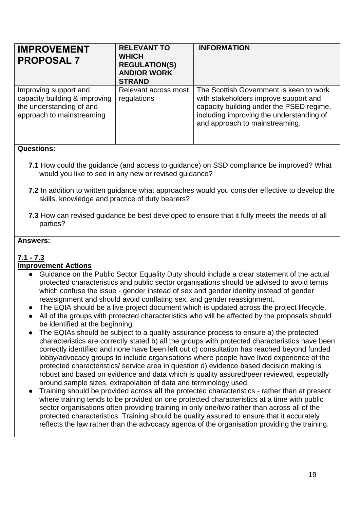<span id="page-19-0"></span>

| <b>IMPROVEMENT</b><br><b>PROPOSAL 7</b>                                                                         | <b>RELEVANT TO</b><br><b>WHICH</b><br><b>REGULATION(S)</b><br><b>AND/OR WORK</b><br><b>STRAND</b> | <b>INFORMATION</b>                                                                                                                                                                                         |
|-----------------------------------------------------------------------------------------------------------------|---------------------------------------------------------------------------------------------------|------------------------------------------------------------------------------------------------------------------------------------------------------------------------------------------------------------|
| Improving support and<br>capacity building & improving<br>the understanding of and<br>approach to mainstreaming | Relevant across most<br>regulations                                                               | The Scottish Government is keen to work<br>with stakeholders improve support and<br>capacity building under the PSED regime,<br>including improving the understanding of<br>and approach to mainstreaming. |

- **7.1** How could the guidance (and access to guidance) on SSD compliance be improved? What would you like to see in any new or revised guidance?
- **7.2** In addition to written guidance what approaches would you consider effective to develop the skills, knowledge and practice of duty bearers?
- **7.3** How can revised guidance be best developed to ensure that it fully meets the needs of all parties?

#### **Answers:**

#### **7.1 - 7.3**

#### **Improvement Actions**

- Guidance on the Public Sector Equality Duty should include a clear statement of the actual protected characteristics and public sector organisations should be advised to avoid terms which confuse the issue - gender instead of sex and gender identity instead of gender reassignment and should avoid conflating sex, and gender reassignment.
- The EQIA should be a live project document which is updated across the project lifecycle.
- All of the groups with protected characteristics who will be affected by the proposals should be identified at the beginning.
- The EQIAs should be subject to a quality assurance process to ensure a) the protected characteristics are correctly stated b) all the groups with protected characteristics have been correctly identified and none have been left out c) consultation has reached beyond funded lobby/advocacy groups to include organisations where people have lived experience of the protected characteristics/ service area in question d) evidence based decision making is robust and based on evidence and data which is quality assured/peer reviewed, especially around sample sizes, extrapolation of data and terminology used.
- Training should be provided across **all** the protected characteristics rather than at present where training tends to be provided on one protected characteristics at a time with public sector organisations often providing training in only one/two rather than across all of the protected characteristics. Training should be quality assured to ensure that it accurately reflects the law rather than the advocacy agenda of the organisation providing the training.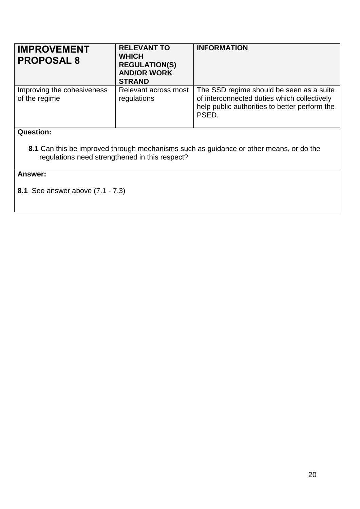<span id="page-20-0"></span>

| <b>IMPROVEMENT</b><br><b>PROPOSAL 8</b>     | <b>RELEVANT TO</b><br><b>WHICH</b><br><b>REGULATION(S)</b><br><b>AND/OR WORK</b><br><b>STRAND</b> | <b>INFORMATION</b>                                                                                                                                |
|---------------------------------------------|---------------------------------------------------------------------------------------------------|---------------------------------------------------------------------------------------------------------------------------------------------------|
| Improving the cohesiveness<br>of the regime | Relevant across most<br>regulations                                                               | The SSD regime should be seen as a suite<br>of interconnected duties which collectively<br>help public authorities to better perform the<br>PSED. |

**8.1** Can this be improved through mechanisms such as guidance or other means, or do the regulations need strengthened in this respect?

#### **Answer:**

**8.1** See answer above (7.1 - 7.3)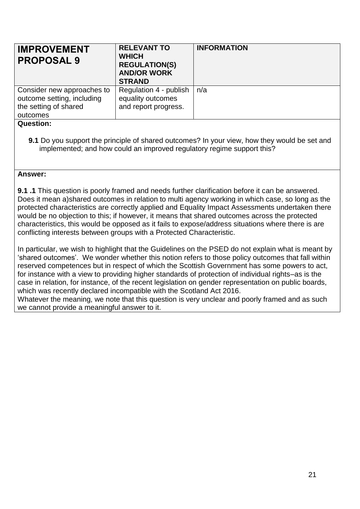<span id="page-21-0"></span>

| <b>IMPROVEMENT</b><br><b>PROPOSAL 9</b>                                                       | <b>RELEVANT TO</b><br><b>WHICH</b><br><b>REGULATION(S)</b><br><b>AND/OR WORK</b><br><b>STRAND</b> | <b>INFORMATION</b> |
|-----------------------------------------------------------------------------------------------|---------------------------------------------------------------------------------------------------|--------------------|
| Consider new approaches to<br>outcome setting, including<br>the setting of shared<br>outcomes | Regulation 4 - publish<br>equality outcomes<br>and report progress.                               | n/a                |

**9.1** Do you support the principle of shared outcomes? In your view, how they would be set and implemented; and how could an improved regulatory regime support this?

#### **Answer:**

**9.1 .1** This question is poorly framed and needs further clarification before it can be answered. Does it mean a)shared outcomes in relation to multi agency working in which case, so long as the protected characteristics are correctly applied and Equality Impact Assessments undertaken there would be no objection to this; if however, it means that shared outcomes across the protected characteristics, this would be opposed as it fails to expose/address situations where there is are conflicting interests between groups with a Protected Characteristic.

In particular, we wish to highlight that the Guidelines on the PSED do not explain what is meant by 'shared outcomes'. We wonder whether this notion refers to those policy outcomes that fall within reserved competences but in respect of which the Scottish Government has some powers to act, for instance with a view to providing higher standards of protection of individual rights–as is the case in relation, for instance, of the recent legislation on gender representation on public boards, which was recently declared incompatible with the Scotland Act 2016. Whatever the meaning, we note that this question is very unclear and poorly framed and as such

we cannot provide a meaningful answer to it.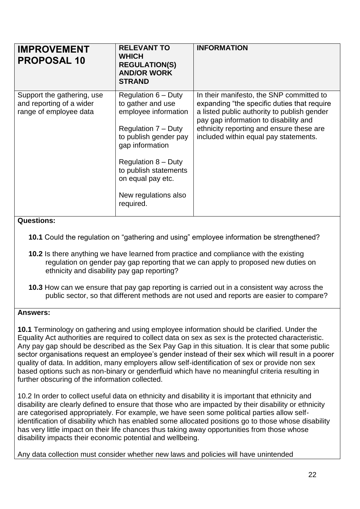<span id="page-22-0"></span>

| <b>IMPROVEMENT</b><br><b>PROPOSAL 10</b>                                         | <b>RELEVANT TO</b><br><b>WHICH</b><br><b>REGULATION(S)</b><br><b>AND/OR WORK</b><br><b>STRAND</b>                                                                                                                                                 | <b>INFORMATION</b>                                                                                                                                                                                                                                                   |
|----------------------------------------------------------------------------------|---------------------------------------------------------------------------------------------------------------------------------------------------------------------------------------------------------------------------------------------------|----------------------------------------------------------------------------------------------------------------------------------------------------------------------------------------------------------------------------------------------------------------------|
| Support the gathering, use<br>and reporting of a wider<br>range of employee data | Regulation $6 -$ Duty<br>to gather and use<br>employee information<br>Regulation 7 – Duty<br>to publish gender pay<br>gap information<br>Regulation $8 -$ Duty<br>to publish statements<br>on equal pay etc.<br>New regulations also<br>required. | In their manifesto, the SNP committed to<br>expanding "the specific duties that require<br>a listed public authority to publish gender<br>pay gap information to disability and<br>ethnicity reporting and ensure these are<br>included within equal pay statements. |

**10.1** Could the regulation on "gathering and using" employee information be strengthened?

- **10.2** Is there anything we have learned from practice and compliance with the existing regulation on gender pay gap reporting that we can apply to proposed new duties on ethnicity and disability pay gap reporting?
- **10.3** How can we ensure that pay gap reporting is carried out in a consistent way across the public sector, so that different methods are not used and reports are easier to compare?

#### **Answers:**

**10.1** Terminology on gathering and using employee information should be clarified. Under the Equality Act authorities are required to collect data on sex as sex is the protected characteristic. Any pay gap should be described as the Sex Pay Gap in this situation. It is clear that some public sector organisations request an employee's gender instead of their sex which will result in a poorer quality of data. In addition, many employers allow self-identification of sex or provide non sex based options such as non-binary or genderfluid which have no meaningful criteria resulting in further obscuring of the information collected.

10.2 In order to collect useful data on ethnicity and disability it is important that ethnicity and disability are clearly defined to ensure that those who are impacted by their disability or ethnicity are categorised appropriately. For example, we have seen some political parties allow selfidentification of disability which has enabled some allocated positions go to those whose disability has very little impact on their life chances thus taking away opportunities from those whose disability impacts their economic potential and wellbeing.

Any data collection must consider whether new laws and policies will have unintended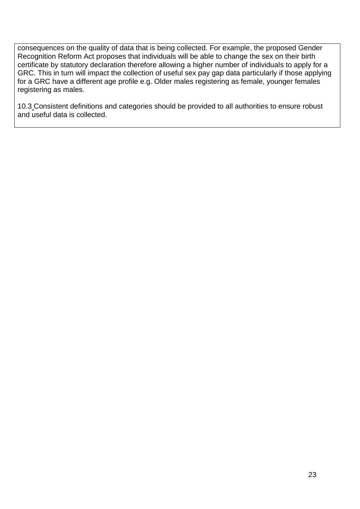consequences on the quality of data that is being collected. For example, the proposed Gender Recognition Reform Act proposes that individuals will be able to change the sex on their birth certificate by statutory declaration therefore allowing a higher number of individuals to apply for a GRC. This in turn will impact the collection of useful sex pay gap data particularly if those applying for a GRC have a different age profile e.g. Older males registering as female, younger females registering as males.

10.3 Consistent definitions and categories should be provided to all authorities to ensure robust and useful data is collected.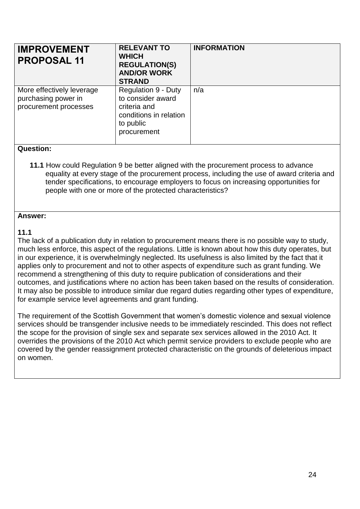<span id="page-24-0"></span>

| <b>IMPROVEMENT</b><br><b>PROPOSAL 11</b>                                  | <b>RELEVANT TO</b><br><b>WHICH</b><br><b>REGULATION(S)</b><br><b>AND/OR WORK</b><br><b>STRAND</b>                     | <b>INFORMATION</b> |
|---------------------------------------------------------------------------|-----------------------------------------------------------------------------------------------------------------------|--------------------|
| More effectively leverage<br>purchasing power in<br>procurement processes | <b>Regulation 9 - Duty</b><br>to consider award<br>criteria and<br>conditions in relation<br>to public<br>procurement | n/a                |

#### **Answer:**

#### **11.1**

The lack of a publication duty in relation to procurement means there is no possible way to study, much less enforce, this aspect of the regulations. Little is known about how this duty operates, but in our experience, it is overwhelmingly neglected. Its usefulness is also limited by the fact that it applies only to procurement and not to other aspects of expenditure such as grant funding. We recommend a strengthening of this duty to require publication of considerations and their outcomes, and justifications where no action has been taken based on the results of consideration. It may also be possible to introduce similar due regard duties regarding other types of expenditure, for example service level agreements and grant funding.

The requirement of the Scottish Government that women's domestic violence and sexual violence services should be transgender inclusive needs to be immediately rescinded. This does not reflect the scope for the provision of single sex and separate sex services allowed in the 2010 Act. It overrides the provisions of the 2010 Act which permit service providers to exclude people who are covered by the gender reassignment protected characteristic on the grounds of deleterious impact on women.

 **<sup>11.1</sup>** How could Regulation 9 be better aligned with the procurement process to advance equality at every stage of the procurement process, including the use of award criteria and tender specifications, to encourage employers to focus on increasing opportunities for people with one or more of the protected characteristics?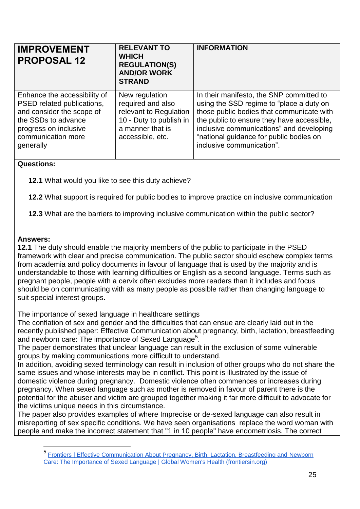<span id="page-25-0"></span>

| <b>IMPROVEMENT</b><br><b>PROPOSAL 12</b>                                                                                                                                   | <b>RELEVANT TO</b><br><b>WHICH</b><br><b>REGULATION(S)</b><br><b>AND/OR WORK</b><br><b>STRAND</b>                                | <b>INFORMATION</b>                                                                                                                                                                                                                                                                                  |
|----------------------------------------------------------------------------------------------------------------------------------------------------------------------------|----------------------------------------------------------------------------------------------------------------------------------|-----------------------------------------------------------------------------------------------------------------------------------------------------------------------------------------------------------------------------------------------------------------------------------------------------|
| Enhance the accessibility of<br>PSED related publications,<br>and consider the scope of<br>the SSDs to advance<br>progress on inclusive<br>communication more<br>generally | New regulation<br>required and also<br>relevant to Regulation<br>10 - Duty to publish in<br>a manner that is<br>accessible, etc. | In their manifesto, the SNP committed to<br>using the SSD regime to "place a duty on<br>those public bodies that communicate with<br>the public to ensure they have accessible,<br>inclusive communications" and developing<br>"national guidance for public bodies on<br>inclusive communication". |

**12.1** What would you like to see this duty achieve?

**12.2** What support is required for public bodies to improve practice on inclusive communication

**12.3** What are the barriers to improving inclusive communication within the public sector?

#### **Answers:**

1

**12.1** The duty should enable the majority members of the public to participate in the PSED framework with clear and precise communication. The public sector should eschew complex terms from academia and policy documents in favour of language that is used by the majority and is understandable to those with learning difficulties or English as a second language. Terms such as pregnant people, people with a cervix often excludes more readers than it includes and focus should be on communicating with as many people as possible rather than changing language to suit special interest groups.

The importance of sexed language in healthcare settings

The conflation of sex and gender and the difficulties that can ensue are clearly laid out in the recently published paper: Effective Communication about pregnancy, birth, lactation, breastfeeding and newborn care: The importance of Sexed Language<sup>5</sup>.

The paper demonstrates that unclear language can result in the exclusion of some vulnerable groups by making communications more difficult to understand.

In addition, avoiding sexed terminology can result in inclusion of other groups who do not share the same issues and whose interests may be in conflict. This point is illustrated by the issue of domestic violence during pregnancy. Domestic violence often commences or increases during pregnancy. When sexed language such as mother is removed in favour of parent there is the potential for the abuser and victim are grouped together making it far more difficult to advocate for the victims unique needs in this circumstance.

The paper also provides examples of where Imprecise or de-sexed language can also result in misreporting of sex specific conditions. We have seen organisations replace the word woman with people and make the incorrect statement that "1 in 10 people" have endometriosis. The correct

<sup>&</sup>lt;sup>5</sup> [Frontiers | Effective Communication About Pregnancy, Birth, Lactation, Breastfeeding and](https://www.frontiersin.org/articles/10.3389/fgwh.2022.818856/full) Newborn [Care: The Importance of Sexed Language | Global Women's Health \(frontiersin.org\)](https://www.frontiersin.org/articles/10.3389/fgwh.2022.818856/full)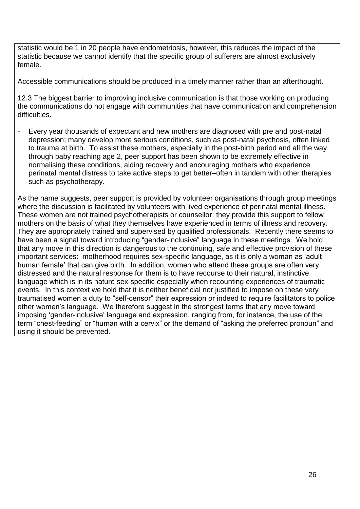statistic would be 1 in 20 people have endometriosis, however, this reduces the impact of the statistic because we cannot identify that the specific group of sufferers are almost exclusively female.

Accessible communications should be produced in a timely manner rather than an afterthought.

12.3 The biggest barrier to improving inclusive communication is that those working on producing the communications do not engage with communities that have communication and comprehension difficulties.

- Every year thousands of expectant and new mothers are diagnosed with pre and post-natal depression; many develop more serious conditions, such as post-natal psychosis, often linked to trauma at birth. To assist these mothers, especially in the post-birth period and all the way through baby reaching age 2, peer support has been shown to be extremely effective in normalising these conditions, aiding recovery and encouraging mothers who experience perinatal mental distress to take active steps to get better–often in tandem with other therapies such as psychotherapy.

As the name suggests, peer support is provided by volunteer organisations through group meetings where the discussion is facilitated by volunteers with lived experience of perinatal mental illness. These women are not trained psychotherapists or counsellor: they provide this support to fellow mothers on the basis of what they themselves have experienced in terms of illness and recovery. They are appropriately trained and supervised by qualified professionals. Recently there seems to have been a signal toward introducing "gender-inclusive" language in these meetings. We hold that any move in this direction is dangerous to the continuing, safe and effective provision of these important services: motherhood requires sex-specific language, as it is only a woman as 'adult human female' that can give birth. In addition, women who attend these groups are often very distressed and the natural response for them is to have recourse to their natural, instinctive language which is in its nature sex-specific especially when recounting experiences of traumatic events. In this context we hold that it is neither beneficial nor justified to impose on these very traumatised women a duty to "self-censor" their expression or indeed to require facilitators to police other women's language. We therefore suggest in the strongest terms that any move toward imposing 'gender-inclusive' language and expression, ranging from, for instance, the use of the term "chest-feeding" or "human with a cervix" or the demand of "asking the preferred pronoun" and using it should be prevented.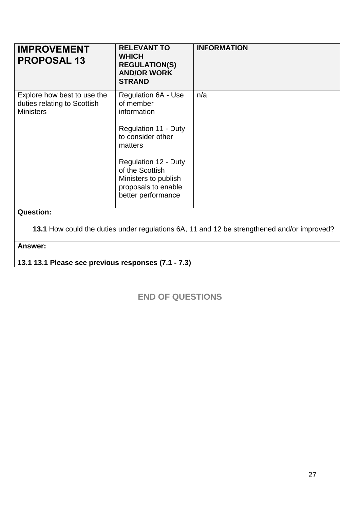<span id="page-27-0"></span>

| <b>IMPROVEMENT</b><br><b>PROPOSAL 13</b>                                                                       | <b>RELEVANT TO</b><br><b>WHICH</b><br><b>REGULATION(S)</b><br><b>AND/OR WORK</b><br><b>STRAND</b>                                                                                                                                     | <b>INFORMATION</b> |  |
|----------------------------------------------------------------------------------------------------------------|---------------------------------------------------------------------------------------------------------------------------------------------------------------------------------------------------------------------------------------|--------------------|--|
| Explore how best to use the<br>duties relating to Scottish<br><b>Ministers</b>                                 | Regulation 6A - Use<br>of member<br>information<br><b>Regulation 11 - Duty</b><br>to consider other<br>matters<br><b>Regulation 12 - Duty</b><br>of the Scottish<br>Ministers to publish<br>proposals to enable<br>better performance | n/a                |  |
| <b>Question:</b><br>13.1 How could the duties under regulations 6A, 11 and 12 be strengthened and/or improved? |                                                                                                                                                                                                                                       |                    |  |

**Answer:**

**13.1 13.1 Please see previous responses (7.1 - 7.3)**

**END OF QUESTIONS**